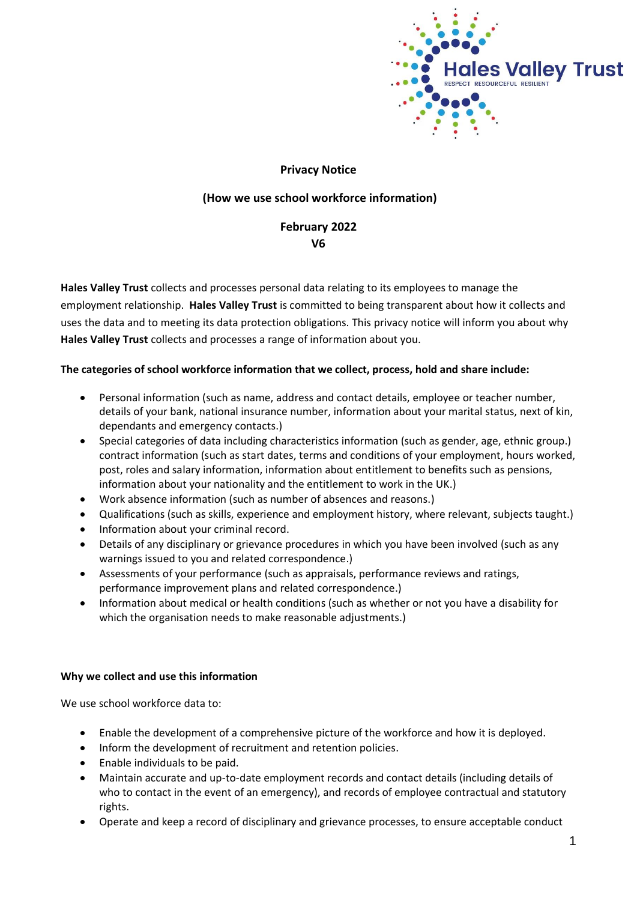

### **Privacy Notice**

# **(How we use school workforce information)**

# **February 2022 V6**

**Hales Valley Trust** collects and processes personal data relating to its employees to manage the employment relationship. **Hales Valley Trust** is committed to being transparent about how it collects and uses the data and to meeting its data protection obligations. This privacy notice will inform you about why **Hales Valley Trust** collects and processes a range of information about you.

#### **The categories of school workforce information that we collect, process, hold and share include:**

- Personal information (such as name, address and contact details, employee or teacher number, details of your bank, national insurance number, information about your marital status, next of kin, dependants and emergency contacts.)
- Special categories of data including characteristics information (such as gender, age, ethnic group.) contract information (such as start dates, terms and conditions of your employment, hours worked, post, roles and salary information, information about entitlement to benefits such as pensions, information about your nationality and the entitlement to work in the UK.)
- Work absence information (such as number of absences and reasons.)
- Qualifications (such as skills, experience and employment history, where relevant, subjects taught.)
- Information about your criminal record.
- Details of any disciplinary or grievance procedures in which you have been involved (such as any warnings issued to you and related correspondence.)
- Assessments of your performance (such as appraisals, performance reviews and ratings, performance improvement plans and related correspondence.)
- Information about medical or health conditions (such as whether or not you have a disability for which the organisation needs to make reasonable adjustments.)

#### **Why we collect and use this information**

We use school workforce data to:

- Enable the development of a comprehensive picture of the workforce and how it is deployed.
- Inform the development of recruitment and retention policies.
- Enable individuals to be paid.
- Maintain accurate and up-to-date employment records and contact details (including details of who to contact in the event of an emergency), and records of employee contractual and statutory rights.
- Operate and keep a record of disciplinary and grievance processes, to ensure acceptable conduct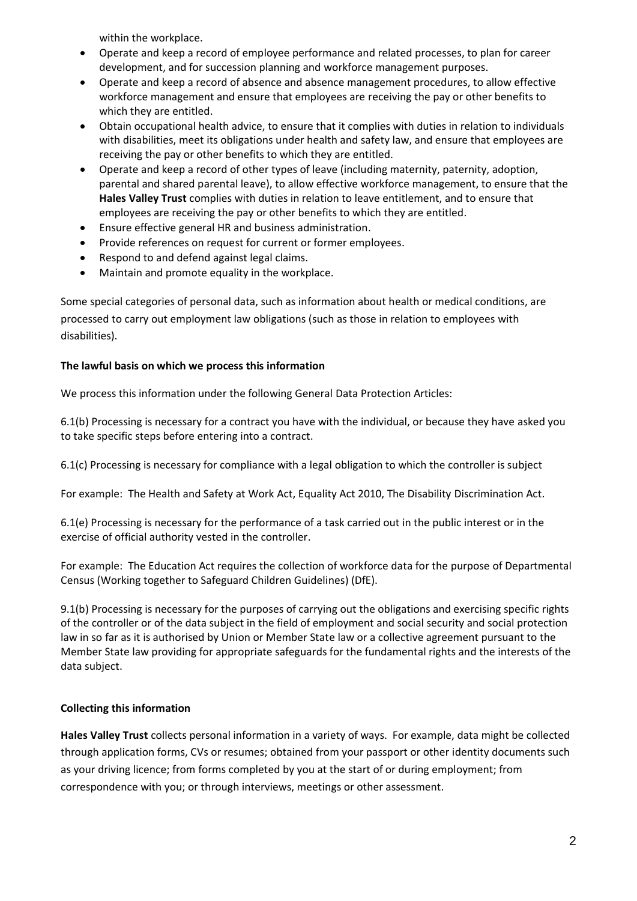within the workplace.

- Operate and keep a record of employee performance and related processes, to plan for career development, and for succession planning and workforce management purposes.
- Operate and keep a record of absence and absence management procedures, to allow effective workforce management and ensure that employees are receiving the pay or other benefits to which they are entitled.
- Obtain occupational health advice, to ensure that it complies with duties in relation to individuals with disabilities, meet its obligations under health and safety law, and ensure that employees are receiving the pay or other benefits to which they are entitled.
- Operate and keep a record of other types of leave (including maternity, paternity, adoption, parental and shared parental leave), to allow effective workforce management, to ensure that the **Hales Valley Trust** complies with duties in relation to leave entitlement, and to ensure that employees are receiving the pay or other benefits to which they are entitled.
- Ensure effective general HR and business administration.
- Provide references on request for current or former employees.
- Respond to and defend against legal claims.
- Maintain and promote equality in the workplace.

Some special categories of personal data, such as information about health or medical conditions, are processed to carry out employment law obligations (such as those in relation to employees with disabilities).

### **The lawful basis on which we process this information**

We process this information under the following General Data Protection Articles:

6.1(b) Processing is necessary for a contract you have with the individual, or because they have asked you to take specific steps before entering into a contract.

6.1(c) Processing is necessary for compliance with a legal obligation to which the controller is subject

For example: The Health and Safety at Work Act, Equality Act 2010, The Disability Discrimination Act.

6.1(e) Processing is necessary for the performance of a task carried out in the public interest or in the exercise of official authority vested in the controller.

For example: The Education Act requires the collection of workforce data for the purpose of Departmental Census (Working together to Safeguard Children Guidelines) (DfE).

9.1(b) Processing is necessary for the purposes of carrying out the obligations and exercising specific rights of the controller or of the data subject in the field of employment and social security and social protection law in so far as it is authorised by Union or Member State law or a collective agreement pursuant to the Member State law providing for appropriate safeguards for the fundamental rights and the interests of the data subject.

### **Collecting this information**

**Hales Valley Trust** collects personal information in a variety of ways. For example, data might be collected through application forms, CVs or resumes; obtained from your passport or other identity documents such as your driving licence; from forms completed by you at the start of or during employment; from correspondence with you; or through interviews, meetings or other assessment.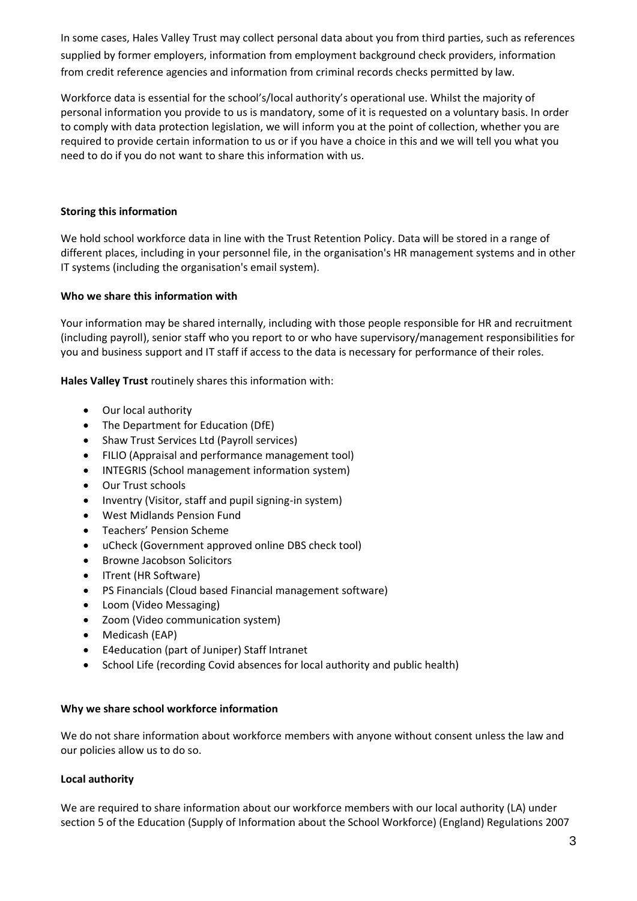In some cases, Hales Valley Trust may collect personal data about you from third parties, such as references supplied by former employers, information from employment background check providers, information from credit reference agencies and information from criminal records checks permitted by law.

Workforce data is essential for the school's/local authority's operational use. Whilst the majority of personal information you provide to us is mandatory, some of it is requested on a voluntary basis. In order to comply with data protection legislation, we will inform you at the point of collection, whether you are required to provide certain information to us or if you have a choice in this and we will tell you what you need to do if you do not want to share this information with us.

# **Storing this information**

We hold school workforce data in line with the Trust Retention Policy. Data will be stored in a range of different places, including in your personnel file, in the organisation's HR management systems and in other IT systems (including the organisation's email system).

# **Who we share this information with**

Your information may be shared internally, including with those people responsible for HR and recruitment (including payroll), senior staff who you report to or who have supervisory/management responsibilities for you and business support and IT staff if access to the data is necessary for performance of their roles.

**Hales Valley Trust** routinely shares this information with:

- Our local authority
- The Department for Education (DfE)
- Shaw Trust Services Ltd (Payroll services)
- FILIO (Appraisal and performance management tool)
- INTEGRIS (School management information system)
- Our Trust schools
- Inventry (Visitor, staff and pupil signing-in system)
- West Midlands Pension Fund
- Teachers' Pension Scheme
- uCheck (Government approved online DBS check tool)
- Browne Jacobson Solicitors
- ITrent (HR Software)
- PS Financials (Cloud based Financial management software)
- Loom (Video Messaging)
- Zoom (Video communication system)
- Medicash (EAP)
- E4education (part of Juniper) Staff Intranet
- School Life (recording Covid absences for local authority and public health)

### **Why we share school workforce information**

We do not share information about workforce members with anyone without consent unless the law and our policies allow us to do so.

### **Local authority**

We are required to share information about our workforce members with our local authority (LA) under section 5 of the Education (Supply of Information about the School Workforce) (England) Regulations 2007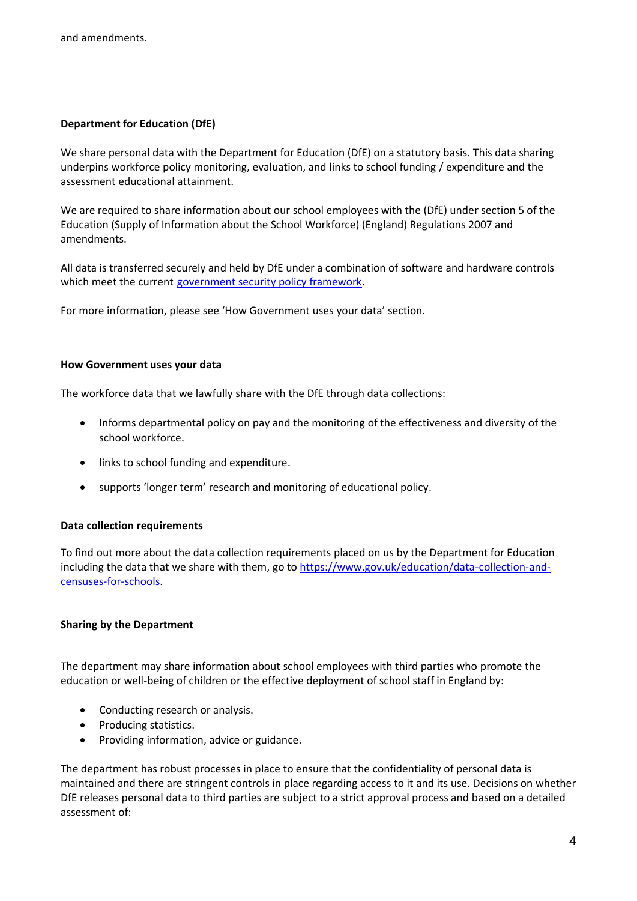#### **Department for Education (DfE)**

We share personal data with the Department for Education (DfE) on a statutory basis. This data sharing underpins workforce policy monitoring, evaluation, and links to school funding / expenditure and the assessment educational attainment.

We are required to share information about our school employees with the (DfE) under section 5 of the Education (Supply of Information about the School Workforce) (England) Regulations 2007 and amendments.

All data is transferred securely and held by DfE under a combination of software and hardware controls which meet the current [government security policy framework.](https://www.gov.uk/government/publications/security-policy-framework)

For more information, please see 'How Government uses your data' section.

#### **How Government uses your data**

The workforce data that we lawfully share with the DfE through data collections:

- Informs departmental policy on pay and the monitoring of the effectiveness and diversity of the school workforce.
- links to school funding and expenditure.
- supports 'longer term' research and monitoring of educational policy.

#### **Data collection requirements**

To find out more about the data collection requirements placed on us by the Department for Education including the data that we share with them, go to [https://www.gov.uk/education/data-collection-and](https://www.gov.uk/education/data-collection-and-censuses-for-schools)[censuses-for-schools.](https://www.gov.uk/education/data-collection-and-censuses-for-schools)

#### **Sharing by the Department**

The department may share information about school employees with third parties who promote the education or well-being of children or the effective deployment of school staff in England by:

- Conducting research or analysis.
- Producing statistics.
- Providing information, advice or guidance.

The department has robust processes in place to ensure that the confidentiality of personal data is maintained and there are stringent controls in place regarding access to it and its use. Decisions on whether DfE releases personal data to third parties are subject to a strict approval process and based on a detailed assessment of: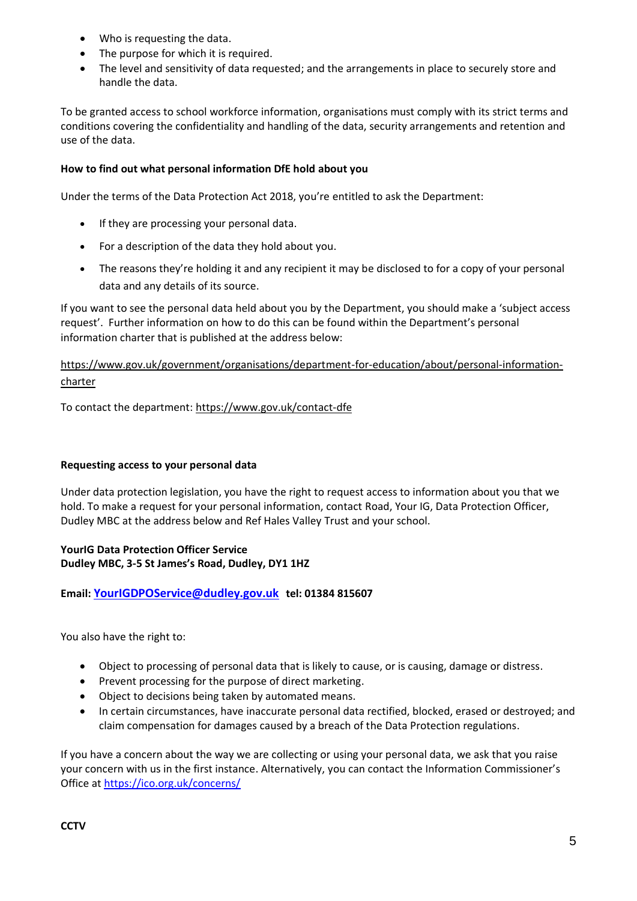- Who is requesting the data.
- The purpose for which it is required.
- The level and sensitivity of data requested; and the arrangements in place to securely store and handle the data.

To be granted access to school workforce information, organisations must comply with its strict terms and conditions covering the confidentiality and handling of the data, security arrangements and retention and use of the data.

### **How to find out what personal information DfE hold about you**

Under the terms of the Data Protection Act 2018, you're entitled to ask the Department:

- If they are processing your personal data.
- For a description of the data they hold about you.
- The reasons they're holding it and any recipient it may be disclosed to for a copy of your personal data and any details of its source.

If you want to see the personal data held about you by the Department, you should make a 'subject access request'. Further information on how to do this can be found within the Department's personal information charter that is published at the address below:

# [https://www.gov.uk/government/organisations/department-for-education/about/personal-information](https://www.gov.uk/government/organisations/department-for-education/about/personal-information-charter)[charter](https://www.gov.uk/government/organisations/department-for-education/about/personal-information-charter)

To contact the department[: https://www.gov.uk/contact-dfe](https://www.gov.uk/contact-dfe)

### **Requesting access to your personal data**

Under data protection legislation, you have the right to request access to information about you that we hold. To make a request for your personal information, contact Road, Your IG, Data Protection Officer, Dudley MBC at the address below and Ref Hales Valley Trust and your school.

# **YourIG Data Protection Officer Service Dudley MBC, 3-5 St James's Road, Dudley, DY1 1HZ**

### **Email: [YourIGDPOService@dudley.gov.uk](mailto:YourIGDPOService@dudley.gov.uk) tel: 01384 815607**

You also have the right to:

- Object to processing of personal data that is likely to cause, or is causing, damage or distress.
- Prevent processing for the purpose of direct marketing.
- Object to decisions being taken by automated means.
- In certain circumstances, have inaccurate personal data rectified, blocked, erased or destroyed; and claim compensation for damages caused by a breach of the Data Protection regulations.

If you have a concern about the way we are collecting or using your personal data, we ask that you raise your concern with us in the first instance. Alternatively, you can contact the Information Commissioner's Office at<https://ico.org.uk/concerns/>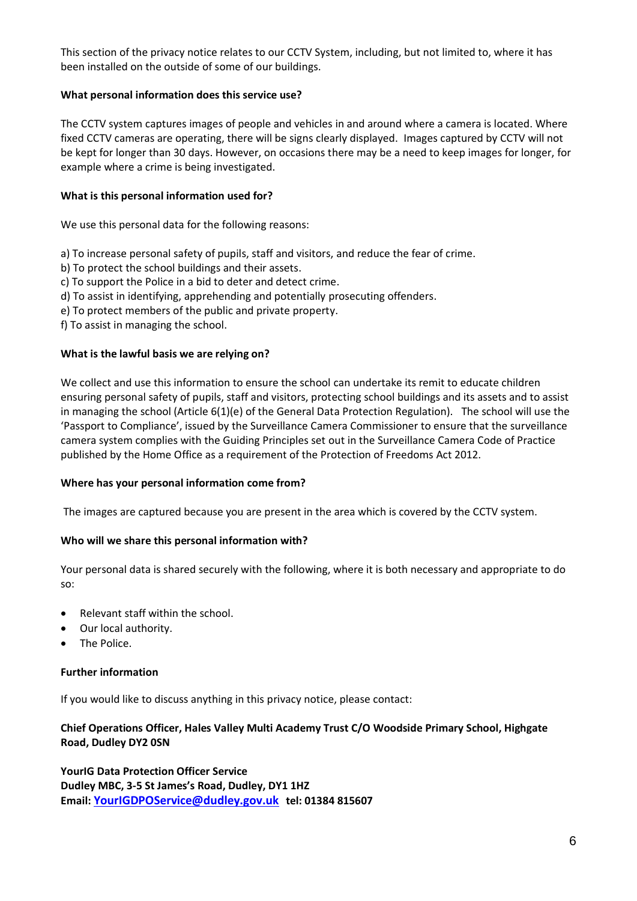This section of the privacy notice relates to our CCTV System, including, but not limited to, where it has been installed on the outside of some of our buildings.

#### **What personal information does this service use?**

The CCTV system captures images of people and vehicles in and around where a camera is located. Where fixed CCTV cameras are operating, there will be signs clearly displayed. Images captured by CCTV will not be kept for longer than 30 days. However, on occasions there may be a need to keep images for longer, for example where a crime is being investigated.

#### **What is this personal information used for?**

We use this personal data for the following reasons:

- a) To increase personal safety of pupils, staff and visitors, and reduce the fear of crime.
- b) To protect the school buildings and their assets.
- c) To support the Police in a bid to deter and detect crime.
- d) To assist in identifying, apprehending and potentially prosecuting offenders.
- e) To protect members of the public and private property.
- f) To assist in managing the school.

#### **What is the lawful basis we are relying on?**

We collect and use this information to ensure the school can undertake its remit to educate children ensuring personal safety of pupils, staff and visitors, protecting school buildings and its assets and to assist in managing the school (Article 6(1)(e) of the General Data Protection Regulation). The school will use the 'Passport to Compliance', issued by the Surveillance Camera Commissioner to ensure that the surveillance camera system complies with the Guiding Principles set out in the Surveillance Camera Code of Practice published by the Home Office as a requirement of the Protection of Freedoms Act 2012.

#### **Where has your personal information come from?**

The images are captured because you are present in the area which is covered by the CCTV system.

#### **Who will we share this personal information with?**

Your personal data is shared securely with the following, where it is both necessary and appropriate to do so:

- Relevant staff within the school.
- Our local authority.
- The Police.

#### **Further information**

If you would like to discuss anything in this privacy notice, please contact:

### **Chief Operations Officer, Hales Valley Multi Academy Trust C/O Woodside Primary School, Highgate Road, Dudley DY2 0SN**

**YourIG Data Protection Officer Service Dudley MBC, 3-5 St James's Road, Dudley, DY1 1HZ Email: [YourIGDPOService@dudley.gov.uk](mailto:YourIGDPOService@dudley.gov.uk) tel: 01384 815607**